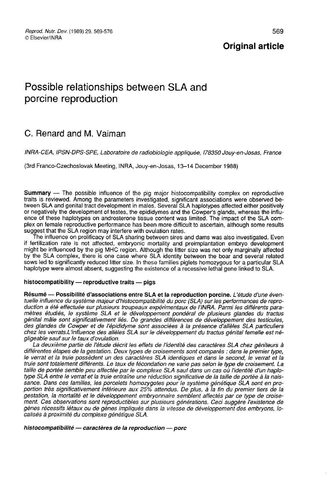## Original article

# Possible relationships between SLA and porcine reproduction

## C. Renard and M. Vaiman

INRA-CEA, IPSN-DPS-SPE, Laboratoire de radiobiologie appliquée, 178350 Jouy-en-Josas, France

(3rd Franco-Czechoslovak Meeting, INRA, Jouy-en-Josas, 13-14 December 1988)

Summary — The possible influence of the pig major histocompatibility complex on reproductive traits is reviewed. Among the parameters investigated, significant associations were observed between SLA and genital tract development in males. Several SLA haplotypes affected either positively or negatively the development of testes, the epididymes and the Cowper's glands, whereas the influence of these haplotypes on androsterone tissue content was limited. The impact of the SLA complex on female reproductive performance has been more difficult to ascertain, although some results suggest that the SLA region may interfere with ovulation rates.

The influence on prolificacy of SLA sharing between sires and dams was also investigated. Even<br>if fertilization rate is not affected, embryonic mortality and preimplantation embryo development might be influenced by the pig MHC region. Although the litter size was not only marginally affected by the SLA complex, there is one case where SLA identity between the boar and several related sows led to significantly reduced litter size. In these families piglets homozygous for a particular SLA haplotype were almost absent, suggesting the existence of a recessive lethal gene linked to SLA.

#### histocompatibility  $-$  reproductive traits  $-$  pigs

Résumé — Possibilité d'associations entre SLA et la reproduction porcine. L'étude d'une éventuelle influence du système majeur d'histocompatibilité du porc (SLA) sur les performances de repro-<br>duction a été effectuée sur plusieurs troupeaux expérimentaux de l'INRA. Parmi les différents paramètres étudiés, le système SLA et le développement pondéral de plusieurs glandes du tractus génital mâle sont significativement liés. De grandes différences de développement des testicules,<br>des glandes de Cowper et de l'épididyme sont associées à la présence d'allèles SLA particuliers chez les verrats.L'influence des allèles SLA sur le développement du tractus génital femelle est négligeable sauf sur le taux d'ovulation.

La deuxième partie de l'étude décrit les effets de l'identité des caractères SLA chez géniteurs à le verrat et la truie possèdent un des caractères SLA identiques et dans le second, le verrat et la truie sont totalement différents. Le taux de fécondation ne varie pas selon le type de croisement. La taille de portée semble peu affectée par le complexe SLA sauf dans un cas où l'identité d'un haplotype SLA entre le verrat et la truie entraîne une réduction significative de la taille de portée à la nais-<br>sance. Dans ces familles, les porcelets homozygotes pour le système génétique SLA sont en proportion très significativement inférieure aux 25% attendus. De plus, à la fin du premier tiers de la gestation, la mortalité et le développement embryonnaire semblent affectés par ce type de croisement. Ces observations sont reproductibles sur plusieurs générations. Ceci suggère l'existence de gènes récessifs létaux ou de gènes impliqués dans la vitesse de développement des embryons, localisés à proximité du complexe génétique SLA.

#### histocompatibilité - caractères de la reproduction - porc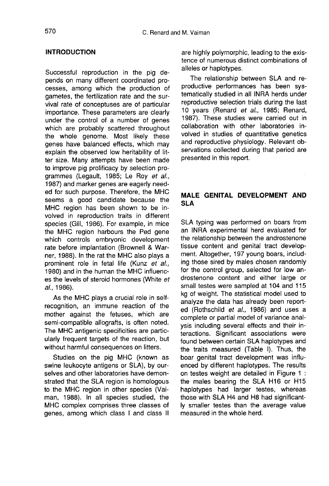### INTRODUCTION

Successful reproduction in the pig depends on many different coordinated processes, among which the production of gametes, the fertilization rate and the survival rate of conceptuses are of particular importance. These parameters are clearly under the control of a number of genes which are probably scattered throughout the whole genome. Most likely these genes have balanced effects, which may explain the observed low heritability of litter size. Many attempts have been made to improve pig prolificacy by selection programmes (Legault, 1985; Le Roy et al., 1987) and marker genes are eagerly needed for such purpose. Therefore, the MHC seems a good candidate because the MHC region has been shown to be involved in reproduction traits in different species (Gill, 1986). For example, in mice the MHC region harbours the Ped gene which controls embryonic development rate before implantation (Brownell & Warner, 1988). In the rat the MHC also plays a prominent role in fetal life (Kunz et al., 1980) and in the human the MHC influences the levels of steroid hormones (White et al., 1986).

As the MHC plays a crucial role in selfrecognition, an immune reaction of the mother against the fetuses, which are semi-compatible allografts, is often noted. The MHC antigenic specificities are particularly frequent targets of the reaction, but without harmful consequences on litters.

Studies on the pig MHC (known as swine leukocyte antigens or SLA), by ourselves and other laboratories have demonstrated that the SLA region is homologous to the MHC region in other species (Vaiman, 1988). In all species studied, the MHC complex comprises three classes of genes, among which class I and class 11

are highly polymorphic, leading to the existence of numerous distinct combinations of alleles or haplotypes.

The relationship between SLA and reproductive performances has been systematically studied in all INRA herds under reproductive selection trials during the last 10 years (Renard et al., 1985; Renard, 1987). These studies were carried out in collaboration with other laboratories involved in studies of quantitative genetics and reproductive physiology. Relevant observations collected during that period are presented in this report.

## MALE GENITAL DEVELOPMENT AND SLA

SLA typing was performed on boars from an INRA experimental herd evaluated for the relationship between the androstenone tissue content and genital tract development. Altogether, 197 young boars, including those sired by males chosen randomly for the control group, selected for low androstenone content and either large or small testes were sampled at 104 and 115 kg of weight. The statistical model used to analyze the data has already been reported (Rothschild et al., 1986) and uses a complete or partial model of variance analysis including several effects and their interactions. Significant associations were found between certain SLA haplotypes and the traits measured (Table I). Thus, the boar genital tract development was influenced by different haplotypes. The results on testes weight are detailed in Figure 1 : the males bearing the SLA H16 or H15 haplotypes had larger testes, whereas those with SLA H4 and H8 had significantly smaller testes than the average value measured in the whole herd.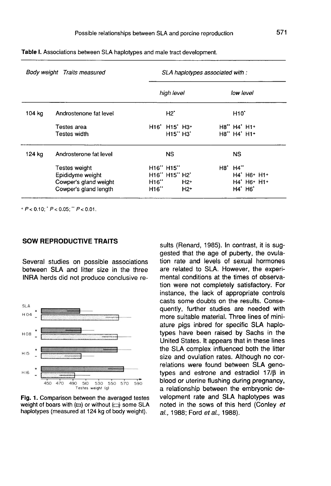| Body weight Traits measured |                                                                                            | SLA haplotypes associated with :                                                       |                                                        |  |
|-----------------------------|--------------------------------------------------------------------------------------------|----------------------------------------------------------------------------------------|--------------------------------------------------------|--|
|                             |                                                                                            | high level                                                                             | low level                                              |  |
| 104 kg                      | Androstenone fat level                                                                     | $H2^*$                                                                                 | H10'                                                   |  |
|                             | Testes area<br>Testes width                                                                | $H16$ , $H15$ , $H3+$<br>H <sub>15</sub> " H <sub>3</sub>                              | $H8'' H4' H1+$<br>H8" H4" H1+                          |  |
| 124 kg                      | Androsterone fat level                                                                     | ΝS                                                                                     | NS.                                                    |  |
|                             | <b>Testes weight</b><br>Epididyme weight<br>Cowper's gland weight<br>Cowper's gland length | H <sub>16</sub> " H <sub>15</sub> "<br>H16" H15" H2"<br>H16"<br>$H2+$<br>H16"<br>$H2+$ | H4"<br>H8.<br>$H4'$ $H6+H1+$<br>H4' H6+ H1+<br>H4, He. |  |

Table I. Associations between SLA haplotypes and male tract development.

 $+P < 0.10$ ;  $P < 0.05$ ;  $P < 0.01$ .

#### SOW REPRODUCTIVE TRAITS

Several studies on possible associations between SLA and litter size in the three INRA herds did not produce conclusive re-





sults (Renard, 1985). In contrast, it is suggested that the age of puberty, the ovulation rate and levels of sexual hormones are related to SLA. However, the experimental conditions at the times of observation were not completely satisfactory. For instance, the lack of appropriate controls casts some doubts on the results. Consequently, further studies are needed with more suitable material. Three lines of miniature pigs inbred for specific SLA haplotypes have been raised by Sachs in the United States. It appears that in these lines the SLA complex influenced both the litter size and ovulation rates. Although no correlations were found between SLA genotypes and estrone and estradiol  $17/β$  in blood or uterine flushing during pregnancy, a relationship between the embryonic development rate and SLA haplotypes was noted in the sows of this herd (Conley et al., 1988; Ford et al., 1988).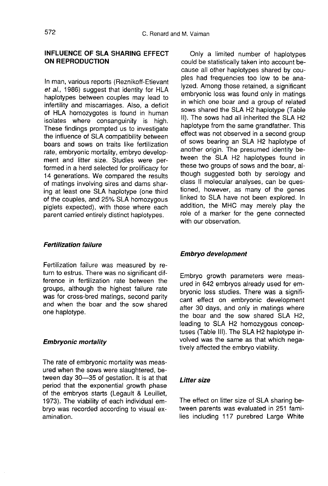## INFLUENCE OF SLA SHARING EFFECT ON REPRODUCTION

In man, various reports (Reznikoff-Etievant et al., 1986) suggest that identity for HLA haplotypes between couples may lead to infertility and miscarriages. Also, a deficit of HLA homozygotes is found in human isolates where consanguinity is high. These findings prompted us to investigate the influence of SLA compatibility between boars and sows on traits like fertilization rate, embryonic mortality, embryo development and litter size. Studies were performed in a herd selected for prolificacy for 14 generations. We compared the results of matings involving sires and dams sharing at least one SLA haplotype (one third of the couples, and 25% SLA homozygous piglets expected), with those where each parent carried entirely distinct haplotypes.

#### Fertilization failure

Fertilization failure was measured by return to estrus. There was no significant difference in fertilization rate between the groups, although the highest failure rate was for cross-bred matings, second parity and when the boar and the sow shared one haplotype.

#### Embryonic mortality

The rate of embryonic mortality was measured when the sows were slaughtered, between day 30-35 of gestation. It is at that period that the exponential growth phase of the embryos starts (Legault & Leuillet, 1973). The viability of each individual embryo was recorded according to visual examination.

Only a limited number of haplotypes could be statistically taken into account because all other haplotypes shared by couples had frequencies too low to be analyzed. Among those retained, a significant embryonic loss was found only in matings in which one boar and a group of related sows shared the SLA H2 haplotype (Table II). The sows had all inherited the SLA H2 haplotype from the same grandfather. This effect was not observed in a second group of sows bearing an SLA H2 haplotype of another origin. The presumed identity between the SLA H2 haplotypes found in these two groups of sows and the boar, although suggested both by serology and class II molecular analyses, can be questioned, however, as many of the genes linked to SLA have not been explored. In addition, the MHC may merely play the role of a marker for the gene connected with our observation

#### Embryo development

Embryo growth parameters were measured in 642 embryos already used for embryonic loss studies. There was a significant effect on embryonic development after 30 days, and only in matings where the boar and the sow shared SLA H2, leading to SLA H2 homozygous conceptuses (Table III). The SLA H2 haplotype involved was the same as that which negatively affected the embryo viability.

### Litter size

The effect on litter size of SLA sharing between parents was evaluated in 251 families including 117 purebred Large White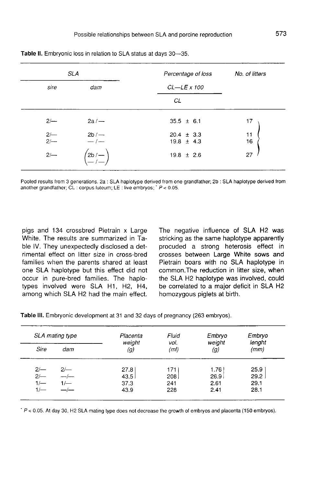| <b>SLA</b>     |                                                                                     | Percentage of loss               | No. of litters |  |
|----------------|-------------------------------------------------------------------------------------|----------------------------------|----------------|--|
| sire           | dam                                                                                 | $CL$ -LE $\times$ 100            |                |  |
|                |                                                                                     | CL                               |                |  |
| $2/-$          | $2a$ / $-$                                                                          | $35.5 \pm 6.1$                   | 17             |  |
| $2/-$<br>$2/-$ | $\overset{\mathsf{2b}\,\mathit{/}\,\mathit{-}}{\mathit{-}\,\mathit{/}\,\mathit{-}}$ | $20.4 \pm 3.3$<br>$19.8 \pm 4.3$ | 11<br>16       |  |
| $2/-$          | /2b / —<br>、— / —                                                                   | $19.8 \pm 2.6$                   | 27             |  |

Table II. Embryonic loss in relation to SLA status at days 30-35.

Pooled results from 3 generations. 2a : SLA haplotype derived from one grandfather; 2b : SLA haplotype derived from another grandfather;  $CL$ : corpus luteum; LE: live embryos; ' $P < 0.05$ .

pigs and 134 crossbred Pietrain x Large White. The results are summarized in Table IV. They unexpectedly disclosed a detrimental effect on litter size in cross-bred families when the parents shared at least one SLA haplotype but this effect did not occur in pure-bred families. The haplotypes involved were SLA H1, H2, H4, among which SLA H2 had the main effect.

The negative influence of SLA H2 was stricking as the same haplotype apparently procuded a strong heterosis effect in crosses between Large White sows and Pietrain boars with no SLA haplotype in common.The reduction in litter size, when the SLA H2 haplotype was involved, could be correlated to a major deficit in SLA H2 homozygous piglets at birth.

| Table III. Embryonic development at 31 and 32 days of pregnancy (263 embryos). |  |  |  |
|--------------------------------------------------------------------------------|--|--|--|
|--------------------------------------------------------------------------------|--|--|--|

| SLA mating type        | Placenta<br>weight | Fluid<br>vol. | Embryo        | Embryo         |
|------------------------|--------------------|---------------|---------------|----------------|
| Sire<br>dam            | (g)                | (ml)          | weight<br>(g) | lenght<br>(mm) |
| $2/-$<br>$2$ /-        | 27.8               | $171^\circ$   | 1.76          | 25.9           |
| $2/-$<br>$\frac{1}{1}$ | 43.5               | 208           | 26.9          | 29.2           |
| $1/-$<br>1/            | 37.3               | 241           | 2.61          | 29.1           |
| 1/                     | 43.9               | 228           | 2.41          | 28.1           |

 $P < 0.05$ . At day 30, H2 SLA mating type does not decrease the growth of embryos and placenta (150 embryos).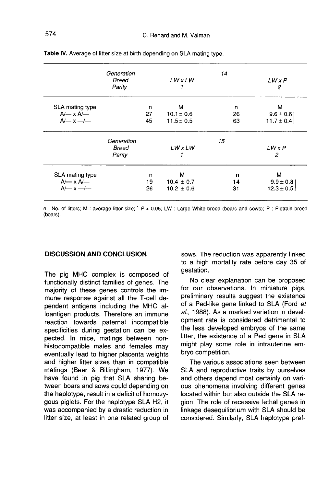|                            | Generation<br>Breed<br>Parity |          | LWxLW                            | 14       | LWxP<br>2                       |
|----------------------------|-------------------------------|----------|----------------------------------|----------|---------------------------------|
| SLA mating type            |                               | n        | м                                | n        | М                               |
| $A/- x A/-$<br>$A/- x -/-$ |                               | 27<br>45 | $10.1 \pm 0.6$<br>$11.5 \pm 0.5$ | 26<br>63 | $9.6 \pm 0.6$<br>$11.7 \pm 0.4$ |
|                            | Generation                    |          |                                  | 15       |                                 |
|                            | Breed<br>Parity               |          | LWxLW                            |          | LWxP<br>$\overline{c}$          |
| SLA mating type            |                               | n        | м                                | n        | M                               |
| $A/- x A/-$<br>$A/- x -/-$ |                               | 19<br>26 | $10.4 \pm 0.7$<br>$10.2 \pm 0.6$ | 14<br>31 | $9.9 \pm 0.8$<br>$12.3 \pm 0.5$ |

Table IV. Average of litter size at birth depending on SLA mating type.

n : No. of litters; M : average litter size; ` P < 0.05; LW : Large White breed (boars and sows); P : Pietrain breed (boars).

#### DISCUSSION AND CONCLUSION

The pig MHC complex is composed of functionally distinct families of genes. The majority of these genes controls the immune response against all the T-cell dependent antigens including the MHC alloantigen products. Therefore an immune reaction towards paternal incompatible specificities during gestation can be expected. In mice, matings between nonhistocompatible males and females may eventually lead to higher placenta weights and higher litter sizes than in compatible matings (Beer & Billingham, 1977). We have found in pig that SLA sharing between boars and sows could depending on the haplotype, result in a deficit of homozygous piglets. For the haplotype SLA H2, it was accompanied by a drastic reduction in litter size, at least in one related group of sows. The reduction was apparently linked to a high mortality rate before day 35 of gestation.

No clear explanation can be proposed for our observations. In miniature pigs, preliminary results suggest the existence of a Ped-like gene linked to SLA (Ford et al., 1988). As a marked variation in development rate is considered detrimental to the less developed embryos of the same litter, the existence of a Ped gene in SLA might play some role in intrauterine embryo competition.

The various associations seen between SLA and reproductive traits by ourselves and others depend most certainly on various phenomena involving different genes located within but also outside the SLA region. The role of recessive lethal genes in linkage desequilibrium with SLA should be considered. Similarly, SLA haplotype pref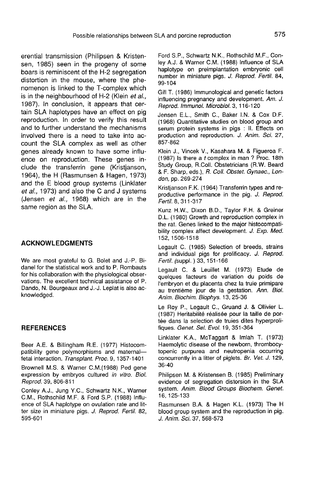erential transmission (Philipsen & Kristensen, 1985) seen in the progeny of some boars is reminiscent of the H-2 segregation distortion in the mouse, where the phe nomenon is linked to the T-complex which is in the neighbourhood of H-2 (Klein et al., 1987). In conclusion, it appears that certain SLA haplotypes have an effect on pig reproduction. In order to verify this result and to further understand the mechanisms involved there is a need to take into account the SLA complex as well as other genes already known to have some influence on reproduction. These genes include the transferrin gene (Kristjanson, 1964), the H (Rasmunsen & Hagen, 1973) and the E blood group systems (Linklater et al., 1973) and also the C and J systems (Jensen et al., 1968) which are in the same region as the SLA.

### ACKNOWLEDGMENTS

We are most grateful to G. Bolet and J.-P. Bidanel for the statistical work and to P. Rombauts for his collaboration with the physiological observations. The excellent technical assistance of P. Dando, N. Bourgeaux and J.-J. Leplat is also acknowledged.

#### REFERENCES

Beer A.E. & Billingham R.E. (1977) Histocompatibility gene polymorphisms and maternal― fetal interaction. Transplant. Proc. 9, 1357-1401

Brownell M.S. & Warner C.M.(1988) Ped gene expression by embryos cultured in vitro. Biol. Reprod. 39, 806-811

Conley A.J., Jung Y.C., Schwartz N.K., Warner C.M., Rothschild M.F. & Ford S.P. (1988) Influence of SLA haplotype on ovulation rate and litter size in miniature pigs. J. Reprod. Fertil. 82, 595-601

Ford S.P., Schwartz N.K., Rothschild M.F., Conley A.J. & Warner C.M. (1988) Influence of SLA haplotype on preimplantation embryonic cell number in miniature pigs. J. Reprod. Fertil. 84, 99-104

Gill T. (1986) Immunological and genetic factors influencing pregnancy and development. Am. J. Reprod. Immunol. Microbiol. 3, 116-120

Jensen E.L., Smith C., Baker I.N. & Cox D.F. (1968) Quantitative studies on blood group and serum protein systems in pigs : II. Effects on production and reproduction. J. Anim. Sci. 27, 857-862

Klein J., Vincek V., Kasahara M. & Figueroa F. (1987) Is there a  $t$  complex in man ? Proc. 18th Study Group, R.Coll. Obstetricians (R.W. Beard & F. Sharp, eds.), R. Coll. Obstet. Gynaec., London, pp. 269-274

Kristjanson F.K. (1964) Transferrin types and reproductive performance in the pig. J. Reprod. Fertil. 8, 311-317

Kunz H.W., Dixon B.D., Taylor F.H. & Greiner D.L. (1980) Growth and reproduction complex in the rat. Genes linked to the major histocompatibility complex affect development. J. Exp. Med. 152, 1506-1518

Legault C. (1985) Selection of breeds, strains and individual pigs for prolificacy. J. Reprod. Fertil. (suppl. ) 33, 151-166

Legault C. & Leuillet M. (1973) Etude de quelques facteurs de variation du poids de 1'embryon et du placenta chez la truie primipare au trentième jour de la gestation. Ann. Biol. Anim. Biochim. Biophys. 13, 25-36

Le Roy P., Legault C., Gruand J. & Ollivier L. (1987) Heritabilité réalisée pour la taille de portée dans la selection de truies dites hyperprolifiques. Genet. Sel. Evol. 19, 351-364

Linklater K.A., McTaggart & lmlah T. (1973) Haemolytic disease of the newborn, thrombocytopenic purpurea and neutropenia occurring concurrently in a litter of piglets. Br. Vet. J. 129, 36-40

Philipsen M. & Kristensen B. (1985) Preliminary evidence of segregation distorsion in the SLA system. Anim. Blood Groups Biochem. Genet. 16, 125-133

Rasmunsen B.A. & Hagen K.L. (1973) The H blood group system and the reproduction in pig. J. Anim. Sci. 37, 568-573